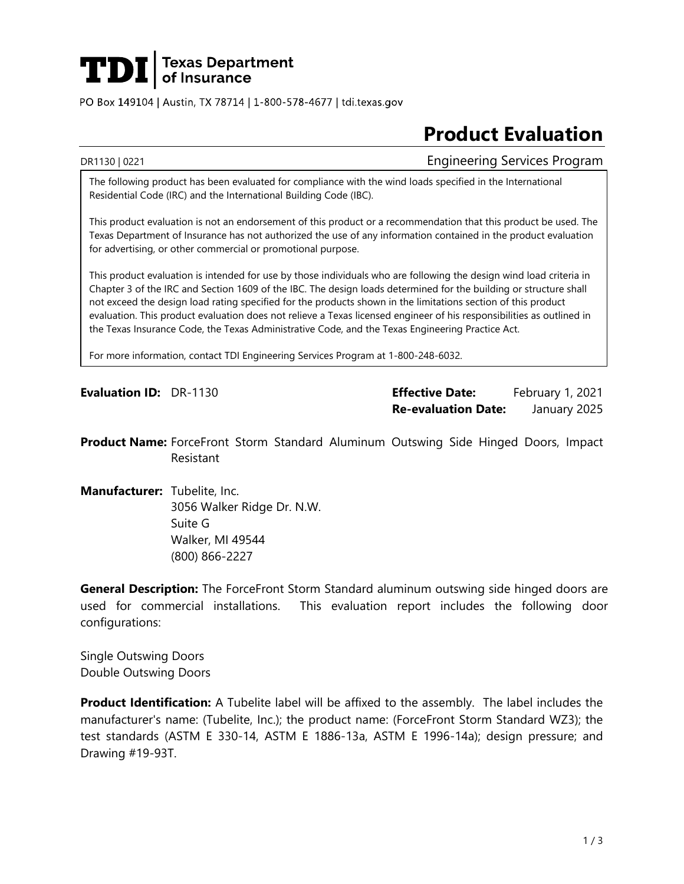

PO Box 149104 | Austin, TX 78714 | 1-800-578-4677 | tdi.texas.gov

# **Product Evaluation**

DR1130 | 0221 **Engineering Services Program** 

The following product has been evaluated for compliance with the wind loads specified in the International Residential Code (IRC) and the International Building Code (IBC).

This product evaluation is not an endorsement of this product or a recommendation that this product be used. The Texas Department of Insurance has not authorized the use of any information contained in the product evaluation for advertising, or other commercial or promotional purpose.

This product evaluation is intended for use by those individuals who are following the design wind load criteria in Chapter 3 of the IRC and Section 1609 of the IBC. The design loads determined for the building or structure shall not exceed the design load rating specified for the products shown in the limitations section of this product evaluation. This product evaluation does not relieve a Texas licensed engineer of his responsibilities as outlined in the Texas Insurance Code, the Texas Administrative Code, and the Texas Engineering Practice Act.

For more information, contact TDI Engineering Services Program at 1-800-248-6032.

**Evaluation ID:** DR-1130 **Effective Date:** February 1, 2021 **Re-evaluation Date:** January 2025

**Product Name:** ForceFront Storm Standard Aluminum Outswing Side Hinged Doors, Impact Resistant

**Manufacturer:** Tubelite, Inc. 3056 Walker Ridge Dr. N.W. Suite G Walker, MI 49544 (800) 866-2227

**General Description:** The ForceFront Storm Standard aluminum outswing side hinged doors are used for commercial installations. This evaluation report includes the following door configurations:

Single Outswing Doors Double Outswing Doors

**Product Identification:** A Tubelite label will be affixed to the assembly. The label includes the manufacturer's name: (Tubelite, Inc.); the product name: (ForceFront Storm Standard WZ3); the test standards (ASTM E 330-14, ASTM E 1886-13a, ASTM E 1996-14a); design pressure; and Drawing #19-93T.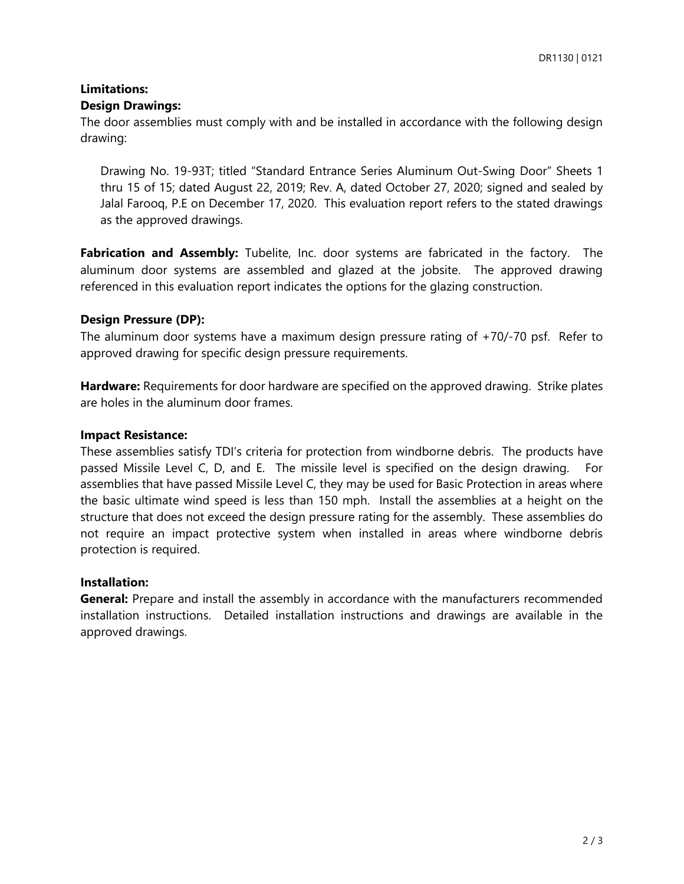## **Limitations: Design Drawings:**

The door assemblies must comply with and be installed in accordance with the following design drawing:

Drawing No. 19-93T; titled "Standard Entrance Series Aluminum Out-Swing Door" Sheets 1 thru 15 of 15; dated August 22, 2019; Rev. A, dated October 27, 2020; signed and sealed by Jalal Farooq, P.E on December 17, 2020. This evaluation report refers to the stated drawings as the approved drawings.

Fabrication and Assembly: Tubelite, Inc. door systems are fabricated in the factory. The aluminum door systems are assembled and glazed at the jobsite. The approved drawing referenced in this evaluation report indicates the options for the glazing construction.

# **Design Pressure (DP):**

The aluminum door systems have a maximum design pressure rating of +70/-70 psf. Refer to approved drawing for specific design pressure requirements.

**Hardware:** Requirements for door hardware are specified on the approved drawing. Strike plates are holes in the aluminum door frames.

## **Impact Resistance:**

These assemblies satisfy TDI's criteria for protection from windborne debris. The products have passed Missile Level C, D, and E. The missile level is specified on the design drawing. For assemblies that have passed Missile Level C, they may be used for Basic Protection in areas where the basic ultimate wind speed is less than 150 mph. Install the assemblies at a height on the structure that does not exceed the design pressure rating for the assembly. These assemblies do not require an impact protective system when installed in areas where windborne debris protection is required.

#### **Installation:**

**General:** Prepare and install the assembly in accordance with the manufacturers recommended installation instructions. Detailed installation instructions and drawings are available in the approved drawings.